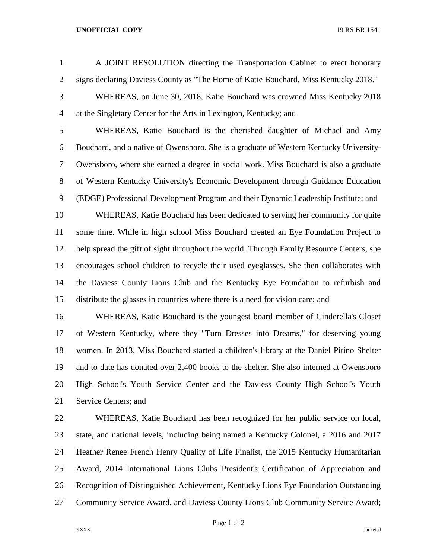## **UNOFFICIAL COPY** 19 RS BR 1541

- A JOINT RESOLUTION directing the Transportation Cabinet to erect honorary signs declaring Daviess County as "The Home of Katie Bouchard, Miss Kentucky 2018."
- WHEREAS, on June 30, 2018, Katie Bouchard was crowned Miss Kentucky 2018 at the Singletary Center for the Arts in Lexington, Kentucky; and

 WHEREAS, Katie Bouchard is the cherished daughter of Michael and Amy Bouchard, and a native of Owensboro. She is a graduate of Western Kentucky University- Owensboro, where she earned a degree in social work. Miss Bouchard is also a graduate of Western Kentucky University's Economic Development through Guidance Education (EDGE) Professional Development Program and their Dynamic Leadership Institute; and WHEREAS, Katie Bouchard has been dedicated to serving her community for quite some time. While in high school Miss Bouchard created an Eye Foundation Project to help spread the gift of sight throughout the world. Through Family Resource Centers, she encourages school children to recycle their used eyeglasses. She then collaborates with the Daviess County Lions Club and the Kentucky Eye Foundation to refurbish and distribute the glasses in countries where there is a need for vision care; and

 WHEREAS, Katie Bouchard is the youngest board member of Cinderella's Closet of Western Kentucky, where they "Turn Dresses into Dreams," for deserving young women. In 2013, Miss Bouchard started a children's library at the Daniel Pitino Shelter and to date has donated over 2,400 books to the shelter. She also interned at Owensboro High School's Youth Service Center and the Daviess County High School's Youth Service Centers; and

 WHEREAS, Katie Bouchard has been recognized for her public service on local, state, and national levels, including being named a Kentucky Colonel, a 2016 and 2017 Heather Renee French Henry Quality of Life Finalist, the 2015 Kentucky Humanitarian Award, 2014 International Lions Clubs President's Certification of Appreciation and Recognition of Distinguished Achievement, Kentucky Lions Eye Foundation Outstanding Community Service Award, and Daviess County Lions Club Community Service Award;